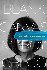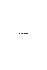**BLANK CANVAS**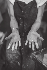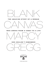

### **THE AMAZING STORY OF A WOMAN**



### WHO AWOKE FROM A COMA TO A LIFE



### **SHE COULDN'T REMEMBER**



TYNDALE MOMENTUM®

 $\boldsymbol{A}$  Tyndale nonfiction imprint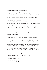Visit Tyndale online at tyndale.com.

Visit Tyndale Momentum online at tyndalemomentum.com.

Visit the author's website at marcygreggart.com.

*Tyndale*, Tyndale's quill logo, *Tyndale Momentum*, and the Tyndale Momentum logo are registered trademarks of Tyndale House Ministries. Tyndale Momentum is a nonfiction imprint of Tyndale House Publishers, Carol Stream, Illinois.

*Blank Canvas: The Amazing Story of a Woman Who Awoke from a Coma to a Life She Couldn't Remember* 

Copyright © 2022 by Marcy Gregg. All rights reserved.

Cover photograph of Marcy Gregg copyright © Robert W. Larsen. All rights reserved.

Cover photograph of paint stroke copyright © Yevgen Romanenko/Getty Images. All rights reserved.

Interior photograph of flowers in front of wall by Mona Eendra on Unsplash.

Interior photographs are the property of their respective copyright holders and used with permission. Daughter's wedding © Amy Weison Photography; Expressions of Joy gallery show © 2015 Michael Hernandez/Capture Happy; family portrait © Jessica Shumaker/JessicaSchuPhotography.com; Marcy working in studio © 2019 Robbie Larsen Photography; wall by Mona Eendra on Unsplash; all other images are from the author's personal collection.

Author photo copyright © 2021 by Richard Israel Photography. All rights reserved.

Designed by Dean H. Renninger

Edited by Deborah King

The author gratefully acknowledges Katelyn Beaty for her role in shaping this manuscript.

Published in association with the literary agency of Punchline Agency LLC.

Unless otherwise indicated, all Scripture quotations are taken from the (NASB®) New American Standard Bible,® copyright © 1960, 1971, 1977, 1995, 2020 by The Lockman Foundation. Used by permission. All rights reserved. www.lockman.org.

Scripture quotations marked NIV are taken from the Holy Bible, *New International Version*, ® *NIV*. ® Copyright © 1973, 1978, 1984, 2011 by Biblica, Inc.® Used by permission. All rights reserved worldwide.

Scripture quotations marked AMPC are taken from the Amplified Bible,® copyright © 1954, 1958, 1962, 1964, 1965, 1987 by The Lockman Foundation. Used by permission. www.Lockman.org.

For information about special discounts for bulk purchases, please contact Tyndale House Publishers at csresponse@tyndale.com, or call 1-855-277-9400.

#### **Library of Congress Cataloging-in-Publication Data**

A catalog record for this book is available from the Library of Congress.

ISBN 978-1-4964-5037-1

Printed in the United States of America

28 27 26 25 24 23 22 7 6 5 4 3 2 1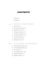# **CONTENTS**

 [Foreword](#page-7-0) *ix* [Prologue](#page-9-0) *xi*

### PART 1: [FACES I ONCE KNEW](#page-17-0)

- 1. [Out of Focus](#page-19-0) *3*
- 2. Comfort and Confusion *11*
- 3. A Mother of Three *19*
- 4. A Song from Heaven *27*
- 5. The Face in the Mirror *35*
- 6. The Gift of Intuition *47*
- 7. Anxious for Home *59*
- 8. Auditions for Life *67*

### PART 2: THE SCENT OF MEMORY

- 9. A Persuasion of Perfume *75*
- 10. A Providential Neighbor *83*
- 11. Off Course *95*
- 12. Turning Up the Heat *105*
- 13. A Beach Getaway *113*
- 14. A Breath of Hope *117*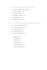### PART 3: DRINKING TO FORGET

- 15. Just Getting Through the Day *127*
- 16. Christmas Cards *137*
- 17. The Dinner Party *141*
- 18. Grieving in a Bottle *149*
- 19. Manageable *155*
- 20. What Lies Ahead *163*

### PART 4: THE PAINTING UNDERNEATH

- 21. Seeing with New Eyes *169*
- 22. A Passion Renewed *175*
- 23. Worlds of Color *183*
- 24. Space to Grow *193*
- 25. Layers of Meaning *201*

 Epilogue *209* Postscript *213* Afterword *221* [Author's Note](#page-26-0) *225* Acknowledgments *227* About the Author *231*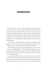## <span id="page-7-0"></span>**FOREWORD**

I haven't met Marcy yet, but after reading the pages of this book, I can imagine what our first coffee date together will be like. I can see her sitting across from me, telling me this story (the one you're holding in your hands right now), and pointing out the faithfulness of God woven throughout—like intricate golden threads that hold it all together. I can imagine her selflessness and her bravery. I can imagine the ways she'd push me to keep going on a day when I feel like giving up.

That's what it will feel like as you sit down to read this compelling, can't-put-down story about the sacredness of second chances: as if you're having a coffee date with a new-yet-trusted friend.

We talk about those second chances all the time, but it's rare that a story so beautifully illustrates what it looks like to bank on them day after day, hour by hour, moment to moment. Marcy lives in the second chance, and she inspires her readers to step in fully to the life that is waiting for them.

In our culture today, it is far too easy to check out of our own lives and lose ourselves in the lives of people we don't know. It has never been more tempting to numb ourselves by becoming a spectator of other people's stories, or to allow our own pain to define us for the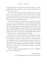long haul. But that's not the answer, Marcy reminds us. If you're feeling tired and just wanting to check out, these pages will give you a better route to take.

This is the kind of book that will remind you how the Lord's mercy is new each morning. It's a book that will call you to awake from slumber and look around at your one life to ask some hard questions: *How can I be present within this day? Regardless of my past, how can I show up to build into my future?*

Marcy doesn't claim to have all the answers, and that's honestly one of the most refreshing elements of her storytelling. Throughout the pages of this book, she clings to God, prays honest prayers, and finds the strength each day to keep showing up. She's always pointing to something bigger than herself, and that's the takeaway you'll find yourself wanting to pocket again and again. She takes the blank canvas given to her—as we all must—and she simply decides to paint a life upon it that is a vibrant reflection of his glory.

I pray the words on these pages will serve as a fresh cloak of inspiration draped over your tired spirit. I pray they will show you that God is present in the hard, and he's sovereign in the storms. More than anything, I pray this story will shake you awake to the life you have right in front of you. That instead of choosing to check out, you will start to ask yourself: what would it look like to relentlessly check *in* to my life? To show up and claim it, despite not knowing what the future holds?

You have a blank canvas sitting right in front of you. It might be time to do something with it.

> *Hannah Brencher author of* Fighting Forward *and* Come Matter Here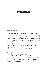# <span id="page-9-0"></span>**PROLOGUE**

#### **SEPTEMBER 17, 2015**

I gazed around the gallery in sheer wonderment. The gray skies and gentle patter of raindrops against the windows stood in stark contrast to the warm, welcoming lights of the hall, its pristine white walls blanketed in large canvases generously layered with oil paint in various hues, some vibrantly contrasted, others subtle and ethereal—but all purposefully mixed and chosen to accomplish the final composition. The click of my heels against the dark concrete floor echoed throughout the empty space as I slowly took in each of the brightly colored works of art—*my art*.

In less than an hour, the gallery would be filled with the familiar faces of family and friends, all gathering to celebrate my first solo show: *Expressions of Joy*.

*What a perfect name*, I mused, picking up one of the beautifully printed cards the gallery had created for tonight's reception—thirtyfive exact miniatures of the bright, expansive canvases that graced the walls—more than a year of passion, dedication, and inspiration captured in pigment and oil.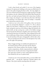I took a deep breath and smiled. It was one of the happiest moments I'd experienced, building on the many joy-filled hours I'd spent in the studio, bringing this show to life—the crisp, slightly citrusy scent of linseed oil permeating the air, light pouring in through the windows, the soft, cushiony feel of the Berber fibers beneath my bare feet, my hands and apron flecked with various hues of yellow, blue, orange, red, and green. I never felt more alive than I did when I was painting. It was almost like a form of worship—a beautiful, pure, spontaneous *expression of joy*.

I made my way to the center of the gallery, where my favorite piece was prominently displayed—a massive 72 x 48 in. abstract called *Lost and Found*. I walked up to the canvas, reached out my hand, and gently traced one of the delicate ridges left behind by the palette knife, my lips curving into a smile at the hidden message that lay beneath the thick layers of golden ochre and titanium white, contrasted by faint hues of cerulean blue. Most striking of all was the not-so-subtle pop of deep crimson carefully placed to grab your eye. It was the heartbeat of the piece, bringing life to all the other colors.

My eyes traveled across the canvas to the description of my work, just to the right of the painting:

Marcy Gregg's paintings are multifaceted explorations of the intrinsic beauty of form and color and the inherent properties of her chosen medium, fine oil paints. Gregg's creative compositions, whether representational or abstract, reflect her love of color and texture. Frequently she builds layer upon layer of paint to create a thick application that is then finished by the use of a palette knife.

I closed my eyes in the church-like silence, my heart filled with gratitude. *God . . . you did this. Thank you.* Thunder rolled in the distance. *Now, if you could do something about this weather . . .*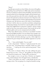"Marcy!"

I quickly spun around to see Anne Neilson, the owner of the gallery, approaching. Anne and I had met in a Bible study, and our mutual passion for art resulted in an almost instant friendship. Anne had received national acclaim for her oil paintings of angels, and she donated a portion of the proceeds from each of her sales to charitable causes, which I loved. Her book had recently been featured on the *Today* show, after Kathie Lee Gifford used one of Anne's angel paintings on her personal Christmas card. She had seen some of my work in a local fundraiser, and when I told her about my somewhat unorthodox underpainting and layering technique, she invited me to join her gallery in the trendy South End neighborhood in downtown Charlotte. And her timing could not have been more perfect because I had recently left my first Charlotte gallery and was now unrepresented and available.

When Anne offered to host a solo show on my behalf, I was both honored and slightly petrified. It was one thing to have strangers view my work online or at a charity event, but it was another thing entirely to have friends and family admiring it up close, which might have explained the goose bumps that had suddenly appeared on my bare arms.

"So . . ." Anne smiled brightly. "Are you ready?"

I took a deep breath. "I think so." I glanced around the room one more time. "Everything looks so beautiful. Thank you, Anne. And these . . ." I held up one of the cards she had printed. "These are amazing!"

"Oh, you're so welcome, Marcy," she said, rubbing the goose bumps from my arms. "Come on." She grabbed my hand and led me toward the reception area. "People will be arriving soon."

Sure enough, as soon as we got there, Christine, our longtime nanny and housekeeper, burst through the door, umbrella first.

"Tinie! I can't believe you came!" I could already feel the tears starting to form. This was going to be a long but beautiful evening.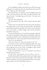"Are you kidding? I wouldn't miss this for the world!" She beamed, pulling me into a huge hug. Then she stepped back and scanned the room. "Where are Dev and the kids?"

"Oh, they'll be here," I assured her. "Dev is bringing Conner and Callie, and Casen's flying in from Dallas. His plane should be landing any minute," I said, glancing up at the clock. "Can I give you a personal tour?"

"You may!" She smiled back.

"You two go ahead," Anne said. "I'll let you know when the others arrive."

Truth be told, I was grateful Tinie had arrived early. Having her there helped calm my nerves. She just had that effect. She had been a good friend and trusted confidante since the boys were little, before we even had Callie. I couldn't imagine what my life would have looked like without her.

I was just showing Tinie one of my favorite paintings, a large 60 x 60 in. abstract with splashes of deep yellow ochre peeking out from layers of grays and delicate ivories, with faint lines forming a subtle cross, titled *Called by Love*, when Anne poked her head around the corner.

"Marcy, Dev just pulled up."

"Don't worry about me," Tinie said, waving me off. "Go!"

I arrived just in time to find Dev, holding the gallery door open with one arm, and his blazer over his head with the other, leaving just enough space for our son Conner, our daughter, Callie, and her boyfriend, Joseph, to rush in from the rain.

"Callie, you should have a coat on!" I brushed a stray wisp of blonde hair from her eyes.

"I'm fine, Mom," she assured me. "It's not cold out—just wet."

She did look beautiful in flowing black slacks and a bright orange sleeveless top that showed off her tanned shoulders. And Conner looked so handsome in his dress khakis and blue blazer. Not surprisingly, neither he nor Dev had bothered with a tie.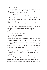#### *Like father, like son.*

Conner leaned down and kissed me on the cheek. "Hey, Mom, congratulations. Everything looks great." He smiled brightly, revealing the trademark dimple I'd always loved.

"Thank you, sweetie."

As the kids made their way into the gallery, I turned to Dev. "I hope Casen and Megan get here on time with this weather."

"I'm sure they'll be fine," he assured me. "How about you? How are you holding up?"

"Nervous. Excited," I said, brushing the wrinkles out of his white button-down shirt.

He smiled at me, his deep-set blue eyes crinkling in the corners. "Don't worry. Everything's going to be okay. I love you."

My breath caught in my chest. He had no idea how much I needed to hear that.

"Can I get you anything?" he asked.

"A Diet Coke?" I suggested.

"You've got it."

By the time he came back, the lightly falling rain had turned into a full-on downpour, just as more cars were lining up outside the entrance. Seeing the concern on my face, Dev handed me my drink and said, "I'll be back." Then, in a brand-new pair of dress shoes, he dashed around puddle after puddle to our car to get a golf umbrella, and one by one, escorted our guests up to the front door, delivering them safe and sound.

"You've got yourself quite a guy there," Anne remarked.

"You have no idea." I smiled absently, watching Dev look after our friends.

Before long, the gallery was alive with chatter. I couldn't believe how many people showed up, and on such a terrible night neighbors, people from church—everywhere I looked, I was met with the smiling faces of people who, over the years, Dev and I had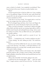come to think of as family. I was completely overwhelmed. Then, from the back of the room, I heard yet another familiar voice.

" $M<sub>om</sub>$ "

I turned toward the door to find our oldest son, Casen, standing next to his girlfriend, Megan. He had the same sandy blond hair mussed off to the side and square-set jaw as his dad. In fact so much of Casen reminded me of Dev.

"Look who we ran into outside." He stepped aside to reveal my mom, my younger sister Ann, and her son, David.

We all exchanged hugs and kisses, then Casen and Megan disappeared into the crowd with David to find Conner and Callie.

"Mom, you look so beautiful." I stood back to admire the bright yellow, black, and white top she was wearing, impeccably set off by a double-strand of pearls and small gold hoop earrings. And as usual, her makeup was perfect. My eyes filled with tears, and I pulled her into another embrace.

"Oh, darling, your daddy would be so proud of you," she whispered.

"I know . . ." I choked back a sob. "I wish he could have seen this."

"I know, darling," she said, rubbing my back. "He would have loved it."

"And I'm sure he'd be thrilled that for once you weren't making a mess of his driveway," Ann joked—a well-timed allusion to my childhood penchant for covering Dad's normally pristine driveway with massive chalk art designs.

I pulled out of Mom's embrace and turned to Ann, who looked positively gorgeous, like a younger version of Mom, with shoulderlength mahogany-colored hair and the most beautiful hazel eyes God ever gifted anyone.

"Marcy, this is beautiful," she beamed, taking in the room.

I could feel the tears forming again. "Well . . . don't just stand there," I urged, anxious to take the focus off of me. "Go take a look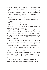around." I shooed them off and took a deep breath, hoping against all hope my waterproof mascara would live up to its name.

As if on cue, as soon as Dev ushered in the last of the guests, the skies cleared, and I wandered throughout the gallery talking, laughing, visiting with friends, and answering questions about my art and the hidden messages behind each picture.

"This is so amazing, Mom!" Callie called out from in front of a light orange and cobalt blue composition that complemented her outfit perfectly.

"Thank you, sweetheart."

"Hey, did you all see Mom's bio?" Conner asked, pointing up at the floor-to-ceiling graphic Anne had placed alongside *Lost and Found*. "It's so cool to see it written out!"

I quickly skimmed the text, though I knew it all by heart. It was so strange to see my entire life encapsulated like that. Even though I had long since come to grips with what had happened to me—to us—twenty-five years ago, I knew it was difficult for others to wrap their heads around it. How could they? Things like that just don't happen. Until they do.

"Good evening," Anne spoke over the crowd, and the lively chatter hushed. "My name is Anne Neilson, and I'd like to welcome you all here tonight to celebrate the first solo show of one of Charlotte's most exciting new artists and my good friend, Marcy Gregg."

I lowered my head as a polite round of applause filled the room. Dev squeezed my hand and winked at me.

"I know many of you here tonight know Marcy and are aware of her story—"she gestured toward the write-up behind her—"but for those of you who aren't . . . well . . ." She smiled knowingly. "You're in for a real treat. Marcy, would you like to come up, please, and say a few words?"

I nodded, gave Dev's hand a final squeeze, and took my place in front of *Lost and Found*, my heart beating like a rabbit. Once my eyes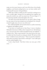swept over the room, however, and I saw all the faces of my family, neighbors, and friends smiling back at me, my heart settled, and I found myself overcome with gratefulness.

"Well, first, I'd like to thank you all so much for coming out on such a terrible night. Seeing all of you gathered here together just means the world to me, and I can assure you, I'll never forget it." A few knowing chuckles echoed throughout the room.

"For those of you who don't know me, my name is Marcy Gregg. I'm sure many of you have already met my husband, Dev, who graciously brought many of you in out of the rain."

Dev smiled sheepishly and waved his hand as a polite smattering of applause and laughter ensued.

"I was born in a small town in East Texas. I went to Southern Methodist University in Dallas, where I majored in art. My freshman year, I met the man who would eventually become my husband." I winked at Dev. "After we got married, I was away from art for years. I worked and then focused on raising my family. We had two little boys." I smiled at Casen and Conner. "Then we moved to Charlotte. And, when I was thirty, I gave birth to a little girl." I met Callie's gaze and she smiled brightly at me.

I took a deep breath. "And that's where my story gets a little  $crazy \ldots$ "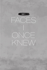<span id="page-17-0"></span>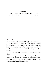# <span id="page-19-0"></span>**CHAPTER 1**  $\begin{array}{c} \hline \end{array}$

#### **MARCH 1990**

I opened my eyes, and pain radiated throughout my neck and skull.

I looked down and strained to focus my eyes. I was lying in a long bed with shiny metal rails. Covered in translucent tubes, my arms lay limp and frail on a heap of crumpled white sheets. My hands looked shriveled and curled into fists. Every limb felt as though it was glued in place.

I tried to raise my head a few inches but was exhausted by the effort.

I looked a couple of inches to the left, then right. A white gauzy curtain reached to the ceiling, and a series of piercing monotonous beeps punctuated the ringing in my ears. I could hear voices in the distance, but it all seemed shrouded in fog.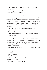I tried to blink the fog away, but nothing came into focus.

*Where am I?*

I closed my eyes, exhausted from my few brief moments of consciousness, and everything went dark.

s

I opened my eyes again, and a light stench of antiseptic combined with a whiff of sweat hit my nostrils, causing my stomach to churn.

The beeping persisted. I looked to the right. A few feet from the bed, a black screen flashed lines and numbers. Beneath it, rows of knobs turned at different angles were attuned to some indiscernible frequency.

I tried to gulp down a breath, but it caught in my chest. It felt as though I had swallowed a beehive.

*Water. I need water.*

I tried to speak, but the words got stuck somewhere between my brain and my lips.

*Can somebody help me, please?*

I looked down and noticed that there were straps around my wrists—circles of Velcro fabric fastened to the sides of the bed like handcuffs. I tried to lift my arms, but the straps held them flat.

I was trapped. My heart quickened.

*I need to get up. Now.*

The pain in my head radiated throughout every limb like red-hot flares every time I tried to move even a few inches.

I was frightened.

I was alone.

Then . . . a familiar face.

*It's a clock!*

It had a white face with black hands and numbers. Plain yet reassuring. Familiar. Only . . .

*What does it say? Why can't I . . . ?*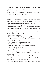I stared at its hands for what felt like hours, but no matter how hard I tried I couldn't get the numbers to focus. And inside that windowless room, there was no way to tell what time it was. It could have been a bright sunny afternoon or the dead of night. Once again, exhausted from the effort, I closed my eyes.

Something jostled me awake. I could hear muffled voices coming from behind the door in the corner of the room, followed by the sound of footsteps and the squeak of rubber on linoleum.

 $\overline{\phantom{a}}$ 

The door opened and two young women came in, murmuring to each other, their voices soft and low. They were wearing blue cotton V-necks and matching pants, their hair pulled back in ponytails. The first woman was carrying a clipboard. The other examined the clear tube coming from the crook of my elbow. Every time she touched it, a wave of pain shot through my arm.

*Water. Please, I need water.*

"Patient's name is Marcy Gregg. Age thirty," the second woman said. "She was recently extubated and woke up this morning." She turned to me and smiled faintly.

"We're so glad to see you doing better, Marcy."

*Marcy?* The name echoed in my mind. It was the strangest sounding name I had ever heard. A discordant note in my ears.

"Are you experiencing any pain?"

I tried to speak, but only a guttural noise came out.

"I'm sure you're glad to have that tube out of your throat."

I searched the woman's eyes for an explanation—some hint of what was going on.

"It probably hurts. You've been on a ventilator for several days." She rolled up my right sleeve. "We need to check your blood pressure, heart rate, and oxygen level, okay, Marcy?"

She wrapped a heavy band around my arm. With every squeeze,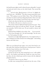the band became tighter until it almost became unbearable. I turned my head and tried to focus on the clock's hands. They moved like molasses.

". . . and we're done. Blood pressure is 129 over 74. Slightly elevated heart rate—106 BPMs." The other woman jotted down more notes. "We're going to up your fluids, Marcy. That will help bring your heart rate down. Just keep taking deep breaths. That's your only job right now. You're doing so much better than a few hours ago."

I tried to do what she said, but every breath hurt.

"Dr. Brawley will come in to check on you too."

 The woman with the clipboard looked up from her notes. "Your husband was here when you woke up, Marcy," she said. "You might not remember. He'll be back soon. He just needed to shower and rest a little."

*Husband?* Panic bubbled to the surface. *But . . . I'm not married.*

"You've been through a lot," she said reassuringly, "but the worst is over. You're going to be okay."

I closed my eyes tight, fighting back tears. I was trapped, alone, in pain. Nothing in my body seemed to be working right—and nothing anyone said made sense.

 $\sim$ 

When my eyes fluttered open again, every inch, from head to toe, felt tender, like I had been churned up in a food processor. I had no idea how long it had been since I first woke.

*I need to get out of this bed.*

I peered up and saw the clock staring back at me. I still couldn't read it—the numbers and hands just would not come into focus. Just then, the door clicked open and the woman with the clipboard poked her head in.

"The doctor is here to see you, Marcy."

An older man wearing bifocals sauntered into the room. A blue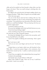collar and red tie peeked out from beneath a sharp white coat that hung to his knees. There was small writing in stitching above the breast pocket.

He walked to the end of the bed. He looked confident, like he was in charge of the place. "Hello, Marcy. It's good to see you finally awake."

*There's that name again.*

"I'm one of the doctors who has been working with you. You wouldn't remember me, but I've been monitoring your progress for several days." He reached down into the pocket of his white coat and pulled out a small black flashlight. "Tilt your head up a bit if you can and look straight ahead."

I strained to hold my neck up.

He moved the flashlight slowly back and forth between my eyes. "Good. Just keep looking straight."

*Is there something wrong with my eyes?* I held my gaze on the clock, the clock that was a blur of grayish numbers.

He clicked the flashlight off, put it back in his coat pocket, and I let my head fall back on the pillow.

"Good. Your pupils are dilating and constricting—that's a good sign."

*But I can't move or talk.*

"And can you move your fingers and toes for me?" the doctor asked.

I looked down at my hands, which were still clenched in fists. With effort, I moved my pointer fingers a few centimeters, then looked down toward my feet. I could see small movements under the sheets.

"Good. Now, you might be a bit confused about how you got here."

I looked at him pleadingly.

"Several days ago, you gave birth to a baby girl."

*What?!* That couldn't be right. There was no way I could have given birth. I wasn't even married.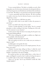"It was a normal delivery. The baby is as healthy as can be. She's being taken care of in the nursery downstairs, but during the delivery, some bacteria got into your bloodstream and infected the membranes in your brain. We believe it was pneumococcal bacterial meningitis *. . .* a severe, potentially fatal brain infection. We did everything we could to intervene, but the infection became so severe that you slipped into a coma."

*Coma.* The word sent a chill down my spine.

"We had to drill a hole in your skull to relieve the pressure in your brain."

*A hole in my skull? Is that why it hurts so bad?*

"I know it sounds alarming," he said calmly, "but it's a normal procedure to relieve swelling on the brain. Nothing out of the ordinary for someone in your situation."

I tried to process what the doctor was saying, but the pain in my head made thinking difficult.

"We've been working day and night to stabilize you. Right now you're probably a little disoriented."

I nodded, and pain shot down my neck.

"But we're going to do all we can to make sure you continue to improve, okay?"

I nodded again, more gently this time.

"Good. I'm just going to ask you a few simple questions. Do you know your name?"

I blinked. Everyone kept calling me Marcy. I rolled the word around in my mind to see if it rang a bell, but nothing about it was familiar. I stared back at the doctor blankly.

He reached up above my head, pulled down a white sheet of paper, and flipped it around so that I could see the big red script on it. I couldn't make out the words. It looked like scribbles.

"Here it is," he said. "See? It says PATIENT GOES BY THE NAME MARCY."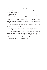Nothing.

"Okay. Can you tell me your date of birth?"

I couldn't even hazard a guess. For some reason 1960 felt right, though why, I couldn't say.

I shook my head.

"That's okay," he smiled reassuringly. "Let me ask another way. Do you know how old you are?"

The last thing I remembered was starting my freshman year of college at Southern Methodist University in Dallas. That meant I must have been . . .

I opened my mouth and croaked out a single word. "Seventeen." The word burned my throat.

The doctor furrowed his brows. "No, Marcy. You're thirty."

*Thirty? That couldn't be right. How could I be thirty?*

"That's enough for now," he said. "Don't worry, Marcy. As the swelling in your brain goes down, things will begin to make more sense. For now, just get some rest. The worst is behind you."

As the doctor left the room, I slumped back even farther into my pillow. *What in the world is happening to me?*